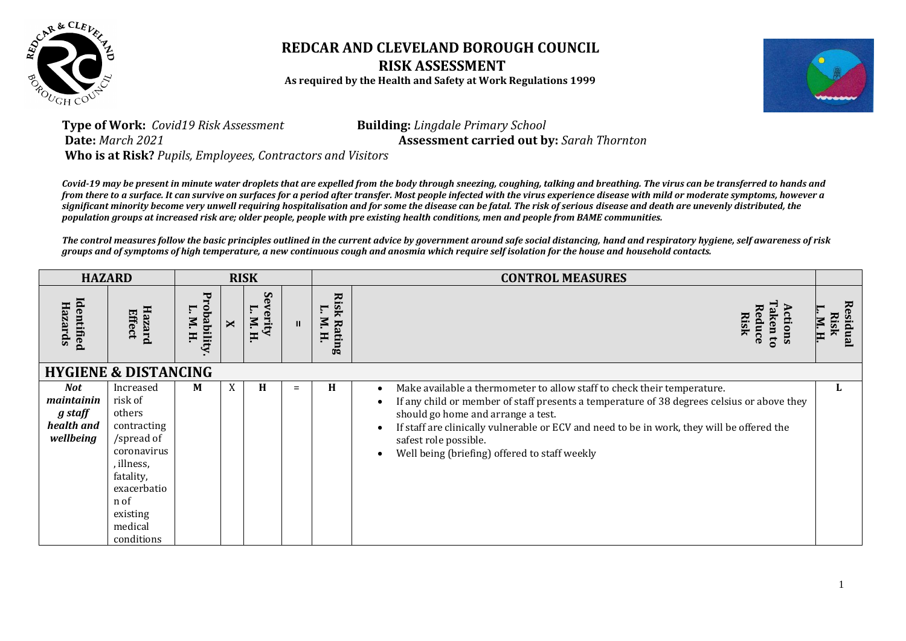

## **REDCAR AND CLEVELAND BOROUGH COUNCIL RISK ASSESSMENT As required by the Health and Safety at Work Regulations 1999**



## **Type of Work:** *Covid19 Risk Assessment* **Building:** *Lingdale Primary School* **Date:** *March 2021* **Assessment carried out by:** *Sarah Thornton* **Who is at Risk?** *Pupils, Employees, Contractors and Visitors*

*Covid-19 may be present in minute water droplets that are expelled from the body through sneezing, coughing, talking and breathing. The virus can be transferred to hands and from there to a surface. It can survive on surfaces for a period after transfer. Most people infected with the virus experience disease with mild or moderate symptoms, however a significant minority become very unwell requiring hospitalisation and for some the disease can be fatal. The risk of serious disease and death are unevenly distributed, the population groups at increased risk are; older people, people with pre existing health conditions, men and people from BAME communities.*

*The control measures follow the basic principles outlined in the current advice by government around safe social distancing, hand and respiratory hygiene, self awareness of risk groups and of symptoms of high temperature, a new continuous cough and anosmia which require self isolation for the house and household contacts.*

|                                                         | <b>HAZARD</b>                                                                                                                                                     |                                  |              | <b>RISK</b>            |              |                                                   | <b>CONTROL MEASURES</b>                                                                                                                                                                                                                                                                                                                                                                  |                                   |
|---------------------------------------------------------|-------------------------------------------------------------------------------------------------------------------------------------------------------------------|----------------------------------|--------------|------------------------|--------------|---------------------------------------------------|------------------------------------------------------------------------------------------------------------------------------------------------------------------------------------------------------------------------------------------------------------------------------------------------------------------------------------------------------------------------------------------|-----------------------------------|
| ldentified<br>Hazards                                   | Hazard<br>Effect                                                                                                                                                  | 모<br>obability<br>г.<br>N.<br>H. | $\mathsf{x}$ | S<br>erity<br>N.<br>Ħ. | $\mathbf{H}$ | <b>Risk</b><br>$\mathbf{r}$<br>N.<br>Rating<br>H. | Reduce<br>ctions<br><b>Risk</b><br>ken to                                                                                                                                                                                                                                                                                                                                                | <b>Explara</b><br>Risk<br>N.<br>H |
|                                                         | <b>HYGIENE &amp; DISTANCING</b>                                                                                                                                   |                                  |              |                        |              |                                                   |                                                                                                                                                                                                                                                                                                                                                                                          |                                   |
| Not<br>maintainin<br>g staff<br>health and<br>wellbeing | Increased<br>risk of<br>others<br>contracting<br>/spread of<br>coronavirus<br>, illness,<br>fatality,<br>exacerbatio<br>n of<br>existing<br>medical<br>conditions | M                                | X            | H                      | $=$          | H                                                 | Make available a thermometer to allow staff to check their temperature.<br>٠<br>If any child or member of staff presents a temperature of 38 degrees celsius or above they<br>should go home and arrange a test.<br>If staff are clinically vulnerable or ECV and need to be in work, they will be offered the<br>safest role possible.<br>Well being (briefing) offered to staff weekly | ы                                 |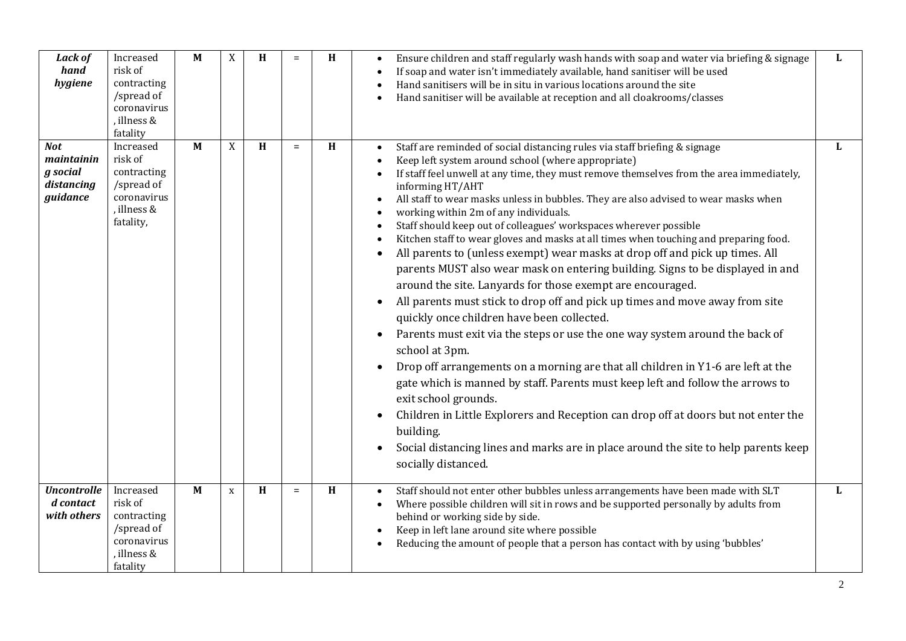| <b>Lack of</b><br>hand<br>hygiene                              | Increased<br>risk of<br>contracting<br>/spread of<br>coronavirus<br>, illness &<br>fatality  | $\mathbf{M}$ | X | H | $=$ | H | Ensure children and staff regularly wash hands with soap and water via briefing & signage<br>If soap and water isn't immediately available, hand sanitiser will be used<br>Hand sanitisers will be in situ in various locations around the site<br>Hand sanitiser will be available at reception and all cloakrooms/classes                                                                                                                                                                                                                                                                                                                                                                                                                                                                                                                                                                                                                                                                                                                                                                                                                                                                                                                                                                                                                                                                                                                             | L |
|----------------------------------------------------------------|----------------------------------------------------------------------------------------------|--------------|---|---|-----|---|---------------------------------------------------------------------------------------------------------------------------------------------------------------------------------------------------------------------------------------------------------------------------------------------------------------------------------------------------------------------------------------------------------------------------------------------------------------------------------------------------------------------------------------------------------------------------------------------------------------------------------------------------------------------------------------------------------------------------------------------------------------------------------------------------------------------------------------------------------------------------------------------------------------------------------------------------------------------------------------------------------------------------------------------------------------------------------------------------------------------------------------------------------------------------------------------------------------------------------------------------------------------------------------------------------------------------------------------------------------------------------------------------------------------------------------------------------|---|
| <b>Not</b><br>maintainin<br>g social<br>distancing<br>guidance | Increased<br>risk of<br>contracting<br>/spread of<br>coronavirus<br>, illness &<br>fatality, | $\mathbf M$  | X | H | $=$ | H | Staff are reminded of social distancing rules via staff briefing & signage<br>Keep left system around school (where appropriate)<br>If staff feel unwell at any time, they must remove themselves from the area immediately,<br>informing HT/AHT<br>All staff to wear masks unless in bubbles. They are also advised to wear masks when<br>working within 2m of any individuals.<br>Staff should keep out of colleagues' workspaces wherever possible<br>Kitchen staff to wear gloves and masks at all times when touching and preparing food.<br>All parents to (unless exempt) wear masks at drop off and pick up times. All<br>parents MUST also wear mask on entering building. Signs to be displayed in and<br>around the site. Lanyards for those exempt are encouraged.<br>All parents must stick to drop off and pick up times and move away from site<br>quickly once children have been collected.<br>Parents must exit via the steps or use the one way system around the back of<br>$\bullet$<br>school at 3pm.<br>Drop off arrangements on a morning are that all children in Y1-6 are left at the<br>$\bullet$<br>gate which is manned by staff. Parents must keep left and follow the arrows to<br>exit school grounds.<br>Children in Little Explorers and Reception can drop off at doors but not enter the<br>building.<br>Social distancing lines and marks are in place around the site to help parents keep<br>socially distanced. | L |
| <b>Uncontrolle</b><br>d contact<br>with others                 | Increased<br>risk of<br>contracting<br>/spread of<br>coronavirus<br>, illness &<br>fatality  | M            | X | H | $=$ | H | Staff should not enter other bubbles unless arrangements have been made with SLT<br>Where possible children will sit in rows and be supported personally by adults from<br>$\bullet$<br>behind or working side by side.<br>Keep in left lane around site where possible<br>Reducing the amount of people that a person has contact with by using 'bubbles'                                                                                                                                                                                                                                                                                                                                                                                                                                                                                                                                                                                                                                                                                                                                                                                                                                                                                                                                                                                                                                                                                              | L |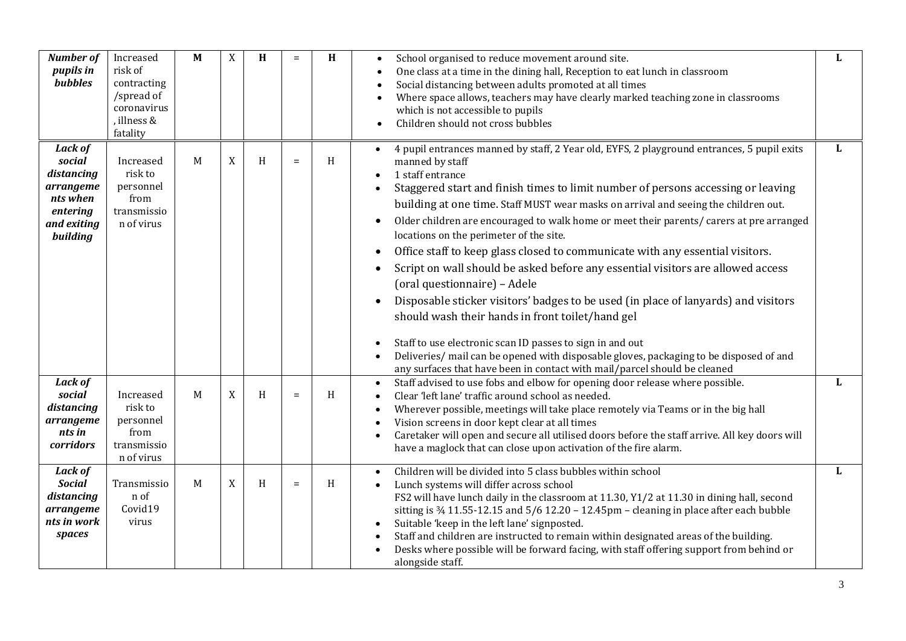| <b>Number of</b><br>pupils in<br><b>bubbles</b>                                                        | Increased<br>risk of<br>contracting<br>/spread of<br>coronavirus<br>, illness &<br>fatality | M | X           | H | $=$      | H | School organised to reduce movement around site.<br>$\bullet$<br>One class at a time in the dining hall, Reception to eat lunch in classroom<br>Social distancing between adults promoted at all times<br>Where space allows, teachers may have clearly marked teaching zone in classrooms<br>which is not accessible to pupils<br>Children should not cross bubbles<br>$\bullet$                                                                                                                                                                                                                                                                                                                                                                                                                                                                                                                                                                                                                                                                                                                                                | L            |
|--------------------------------------------------------------------------------------------------------|---------------------------------------------------------------------------------------------|---|-------------|---|----------|---|----------------------------------------------------------------------------------------------------------------------------------------------------------------------------------------------------------------------------------------------------------------------------------------------------------------------------------------------------------------------------------------------------------------------------------------------------------------------------------------------------------------------------------------------------------------------------------------------------------------------------------------------------------------------------------------------------------------------------------------------------------------------------------------------------------------------------------------------------------------------------------------------------------------------------------------------------------------------------------------------------------------------------------------------------------------------------------------------------------------------------------|--------------|
| <b>Lack of</b><br>social<br>distancing<br>arrangeme<br>nts when<br>entering<br>and exiting<br>building | Increased<br>risk to<br>personnel<br>from<br>transmissio<br>n of virus                      | M | $\mathbf X$ | H | $=$      | H | 4 pupil entrances manned by staff, 2 Year old, EYFS, 2 playground entrances, 5 pupil exits<br>$\bullet$<br>manned by staff<br>1 staff entrance<br>$\bullet$<br>Staggered start and finish times to limit number of persons accessing or leaving<br>building at one time. Staff MUST wear masks on arrival and seeing the children out.<br>Older children are encouraged to walk home or meet their parents/ carers at pre arranged<br>$\bullet$<br>locations on the perimeter of the site.<br>Office staff to keep glass closed to communicate with any essential visitors.<br>$\bullet$<br>Script on wall should be asked before any essential visitors are allowed access<br>$\bullet$<br>(oral questionnaire) - Adele<br>Disposable sticker visitors' badges to be used (in place of lanyards) and visitors<br>$\bullet$<br>should wash their hands in front toilet/hand gel<br>Staff to use electronic scan ID passes to sign in and out<br>$\bullet$<br>Deliveries/ mail can be opened with disposable gloves, packaging to be disposed of and<br>any surfaces that have been in contact with mail/parcel should be cleaned | L            |
| <b>Lack of</b><br>social<br>distancing<br>arrangeme<br>nts in<br>corridors                             | Increased<br>risk to<br>personnel<br>from<br>transmissio<br>n of virus                      | M | X           | H | $\equiv$ | H | Staff advised to use fobs and elbow for opening door release where possible.<br>$\bullet$<br>Clear 'left lane' traffic around school as needed.<br>Wherever possible, meetings will take place remotely via Teams or in the big hall<br>$\bullet$<br>Vision screens in door kept clear at all times<br>Caretaker will open and secure all utilised doors before the staff arrive. All key doors will<br>$\bullet$<br>have a maglock that can close upon activation of the fire alarm.                                                                                                                                                                                                                                                                                                                                                                                                                                                                                                                                                                                                                                            | $\mathbf{L}$ |
| <b>Lack of</b><br><b>Social</b><br>distancing<br>arrangeme<br>nts in work<br>spaces                    | Transmissio<br>n of<br>Covid19<br>virus                                                     | M | X           | H | $\equiv$ | H | Children will be divided into 5 class bubbles within school<br>Lunch systems will differ across school<br>FS2 will have lunch daily in the classroom at 11.30, Y1/2 at 11.30 in dining hall, second<br>sitting is $\frac{3}{4}$ 11.55-12.15 and 5/6 12.20 - 12.45pm - cleaning in place after each bubble<br>Suitable 'keep in the left lane' signposted.<br>Staff and children are instructed to remain within designated areas of the building.<br>Desks where possible will be forward facing, with staff offering support from behind or<br>alongside staff.                                                                                                                                                                                                                                                                                                                                                                                                                                                                                                                                                                 | L            |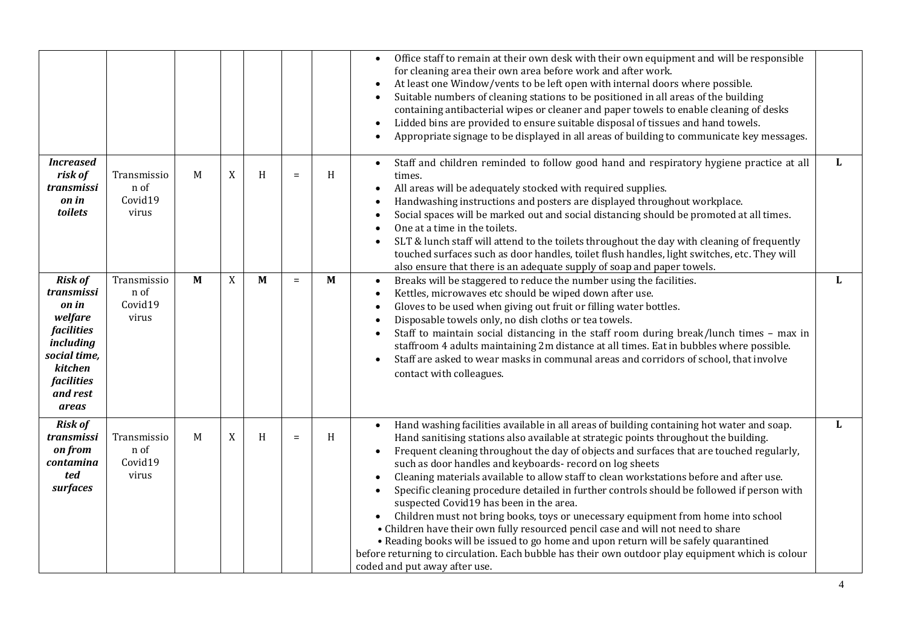|                                                                                                                                                         |                                         |                |   |   |          |              | Office staff to remain at their own desk with their own equipment and will be responsible<br>$\bullet$<br>for cleaning area their own area before work and after work.<br>At least one Window/vents to be left open with internal doors where possible.<br>$\bullet$<br>Suitable numbers of cleaning stations to be positioned in all areas of the building<br>$\bullet$<br>containing antibacterial wipes or cleaner and paper towels to enable cleaning of desks<br>Lidded bins are provided to ensure suitable disposal of tissues and hand towels.<br>$\bullet$<br>Appropriate signage to be displayed in all areas of building to communicate key messages.<br>$\bullet$                                                                                                                                                                                                                                                                                                                                                            |              |
|---------------------------------------------------------------------------------------------------------------------------------------------------------|-----------------------------------------|----------------|---|---|----------|--------------|------------------------------------------------------------------------------------------------------------------------------------------------------------------------------------------------------------------------------------------------------------------------------------------------------------------------------------------------------------------------------------------------------------------------------------------------------------------------------------------------------------------------------------------------------------------------------------------------------------------------------------------------------------------------------------------------------------------------------------------------------------------------------------------------------------------------------------------------------------------------------------------------------------------------------------------------------------------------------------------------------------------------------------------|--------------|
| <b>Increased</b><br>risk of<br>transmissi<br>on in<br>toilets                                                                                           | Transmissio<br>n of<br>Covid19<br>virus | M              | X | H | $\equiv$ | H            | Staff and children reminded to follow good hand and respiratory hygiene practice at all<br>$\bullet$<br>times.<br>All areas will be adequately stocked with required supplies.<br>$\bullet$<br>Handwashing instructions and posters are displayed throughout workplace.<br>$\bullet$<br>Social spaces will be marked out and social distancing should be promoted at all times.<br>$\bullet$<br>One at a time in the toilets.<br>$\bullet$<br>SLT & lunch staff will attend to the toilets throughout the day with cleaning of frequently<br>$\bullet$<br>touched surfaces such as door handles, toilet flush handles, light switches, etc. They will<br>also ensure that there is an adequate supply of soap and paper towels.                                                                                                                                                                                                                                                                                                          | L            |
| <b>Risk of</b><br>transmissi<br>on in<br>welfare<br><i>facilities</i><br>including<br>social time,<br>kitchen<br><i>facilities</i><br>and rest<br>areas | Transmissio<br>n of<br>Covid19<br>virus | $\overline{M}$ | X | M | $\equiv$ | $\mathbf{M}$ | Breaks will be staggered to reduce the number using the facilities.<br>$\bullet$<br>Kettles, microwaves etc should be wiped down after use.<br>$\bullet$<br>Gloves to be used when giving out fruit or filling water bottles.<br>$\bullet$<br>Disposable towels only, no dish cloths or tea towels.<br>$\bullet$<br>Staff to maintain social distancing in the staff room during break/lunch times - max in<br>$\bullet$<br>staffroom 4 adults maintaining 2m distance at all times. Eat in bubbles where possible.<br>Staff are asked to wear masks in communal areas and corridors of school, that involve<br>$\bullet$<br>contact with colleagues.                                                                                                                                                                                                                                                                                                                                                                                    | L            |
| <b>Risk of</b><br>transmissi<br>on from<br>contamina<br>ted<br>surfaces                                                                                 | Transmissio<br>n of<br>Covid19<br>virus | M              | X | H | $\equiv$ | H            | Hand washing facilities available in all areas of building containing hot water and soap.<br>$\bullet$<br>Hand sanitising stations also available at strategic points throughout the building.<br>Frequent cleaning throughout the day of objects and surfaces that are touched regularly,<br>$\bullet$<br>such as door handles and keyboards- record on log sheets<br>Cleaning materials available to allow staff to clean workstations before and after use.<br>$\bullet$<br>Specific cleaning procedure detailed in further controls should be followed if person with<br>$\bullet$<br>suspected Covid19 has been in the area.<br>Children must not bring books, toys or unecessary equipment from home into school<br>• Children have their own fully resourced pencil case and will not need to share<br>• Reading books will be issued to go home and upon return will be safely quarantined<br>before returning to circulation. Each bubble has their own outdoor play equipment which is colour<br>coded and put away after use. | $\mathbf{L}$ |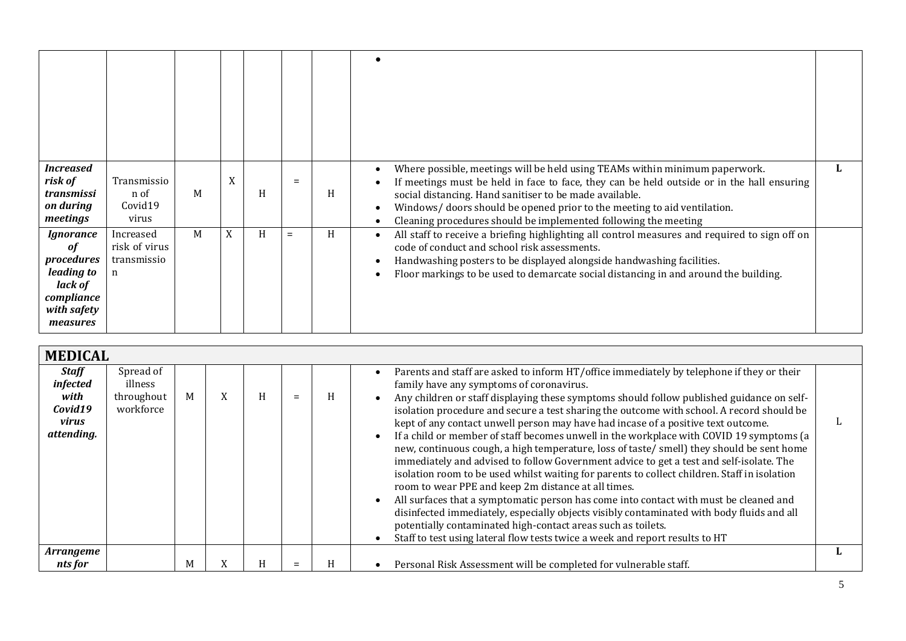| <i>Increased</i><br>risk of<br>transmissi<br>on during<br>meetings                              | Transmissio<br>n of<br>Covid19<br>virus        | M | X | H | $=$ | H | Where possible, meetings will be held using TEAMs within minimum paperwork.<br>If meetings must be held in face to face, they can be held outside or in the hall ensuring<br>social distancing. Hand sanitiser to be made available.<br>Windows/ doors should be opened prior to the meeting to aid ventilation.<br>Cleaning procedures should be implemented following the meeting |  |
|-------------------------------------------------------------------------------------------------|------------------------------------------------|---|---|---|-----|---|-------------------------------------------------------------------------------------------------------------------------------------------------------------------------------------------------------------------------------------------------------------------------------------------------------------------------------------------------------------------------------------|--|
| Ignorance<br>of<br>procedures<br>leading to<br>lack of<br>compliance<br>with safety<br>measures | Increased<br>risk of virus<br>transmissio<br>n | M | X | H | $=$ | H | All staff to receive a briefing highlighting all control measures and required to sign off on<br>code of conduct and school risk assessments.<br>Handwashing posters to be displayed alongside handwashing facilities.<br>Floor markings to be used to demarcate social distancing in and around the building.                                                                      |  |

| <b>MEDICAL</b>                                                     |                                                 |   |           |   |     |   |                                                                                                                                                                                                                                                                                                                                                                                                                                                                                                                                                                                                                                                                                                                                                                                                                                                                                                                                                                                                                                                                                                                                                                                                     |  |  |
|--------------------------------------------------------------------|-------------------------------------------------|---|-----------|---|-----|---|-----------------------------------------------------------------------------------------------------------------------------------------------------------------------------------------------------------------------------------------------------------------------------------------------------------------------------------------------------------------------------------------------------------------------------------------------------------------------------------------------------------------------------------------------------------------------------------------------------------------------------------------------------------------------------------------------------------------------------------------------------------------------------------------------------------------------------------------------------------------------------------------------------------------------------------------------------------------------------------------------------------------------------------------------------------------------------------------------------------------------------------------------------------------------------------------------------|--|--|
| <b>Staff</b><br>infected<br>with<br>Covid19<br>virus<br>attending. | Spread of<br>illness<br>throughout<br>workforce | M | $\lambda$ | H | $=$ | H | Parents and staff are asked to inform HT/office immediately by telephone if they or their<br>family have any symptoms of coronavirus.<br>Any children or staff displaying these symptoms should follow published guidance on self-<br>isolation procedure and secure a test sharing the outcome with school. A record should be<br>kept of any contact unwell person may have had incase of a positive text outcome.<br>If a child or member of staff becomes unwell in the workplace with COVID 19 symptoms (a<br>new, continuous cough, a high temperature, loss of taste/smell) they should be sent home<br>immediately and advised to follow Government advice to get a test and self-isolate. The<br>isolation room to be used whilst waiting for parents to collect children. Staff in isolation<br>room to wear PPE and keep 2m distance at all times.<br>All surfaces that a symptomatic person has come into contact with must be cleaned and<br>disinfected immediately, especially objects visibly contaminated with body fluids and all<br>potentially contaminated high-contact areas such as toilets.<br>Staff to test using lateral flow tests twice a week and report results to HT |  |  |
| Arrangeme<br>nts for                                               |                                                 | M |           | H | =   | H | Personal Risk Assessment will be completed for vulnerable staff.                                                                                                                                                                                                                                                                                                                                                                                                                                                                                                                                                                                                                                                                                                                                                                                                                                                                                                                                                                                                                                                                                                                                    |  |  |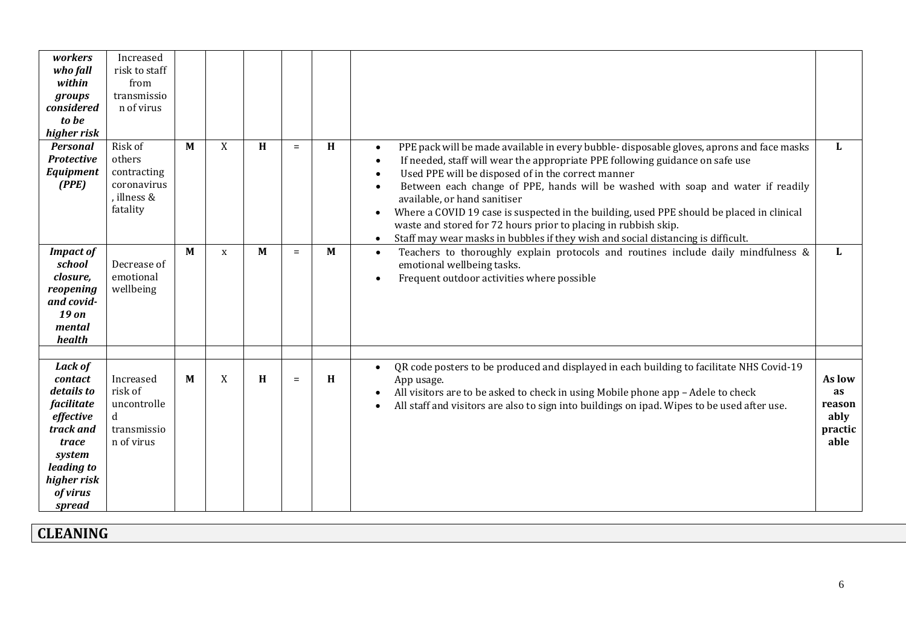| workers<br>who fall<br>within<br>groups<br>considered<br>to be<br>higher risk                                                                         | Increased<br>risk to staff<br>from<br>transmissio<br>n of virus            |   |             |              |     |   |                                                                                                                                                                                                                                                                                                                                                                                                                                                                                                                                                                                                                                                                         |                                                   |
|-------------------------------------------------------------------------------------------------------------------------------------------------------|----------------------------------------------------------------------------|---|-------------|--------------|-----|---|-------------------------------------------------------------------------------------------------------------------------------------------------------------------------------------------------------------------------------------------------------------------------------------------------------------------------------------------------------------------------------------------------------------------------------------------------------------------------------------------------------------------------------------------------------------------------------------------------------------------------------------------------------------------------|---------------------------------------------------|
| <b>Personal</b><br><b>Protective</b><br>Equipment<br>(PPE)                                                                                            | Risk of<br>others<br>contracting<br>coronavirus<br>, illness &<br>fatality | M | X           | H            | $=$ | H | PPE pack will be made available in every bubble-disposable gloves, aprons and face masks<br>$\bullet$<br>If needed, staff will wear the appropriate PPE following guidance on safe use<br>$\bullet$<br>Used PPE will be disposed of in the correct manner<br>$\bullet$<br>Between each change of PPE, hands will be washed with soap and water if readily<br>available, or hand sanitiser<br>Where a COVID 19 case is suspected in the building, used PPE should be placed in clinical<br>$\bullet$<br>waste and stored for 72 hours prior to placing in rubbish skip.<br>Staff may wear masks in bubbles if they wish and social distancing is difficult.<br>$\bullet$ | L                                                 |
| <b>Impact of</b><br>school<br>closure,<br>reopening<br>and covid-<br>19 on<br>mental<br>health                                                        | Decrease of<br>emotional<br>wellbeing                                      | M | $\mathbf x$ | $\mathbf{M}$ | $=$ | M | Teachers to thoroughly explain protocols and routines include daily mindfulness &<br>$\bullet$<br>emotional wellbeing tasks.<br>Frequent outdoor activities where possible<br>$\bullet$                                                                                                                                                                                                                                                                                                                                                                                                                                                                                 | L                                                 |
| <b>Lack of</b><br>contact<br>details to<br>facilitate<br>effective<br>track and<br>trace<br>system<br>leading to<br>higher risk<br>of virus<br>spread | Increased<br>risk of<br>uncontrolle<br>transmissio<br>n of virus           | M | X           | H            | $=$ | H | QR code posters to be produced and displayed in each building to facilitate NHS Covid-19<br>App usage.<br>All visitors are to be asked to check in using Mobile phone app - Adele to check<br>$\bullet$<br>All staff and visitors are also to sign into buildings on ipad. Wipes to be used after use.<br>$\bullet$                                                                                                                                                                                                                                                                                                                                                     | As low<br>as<br>reason<br>ably<br>practic<br>able |

## **CLEANING**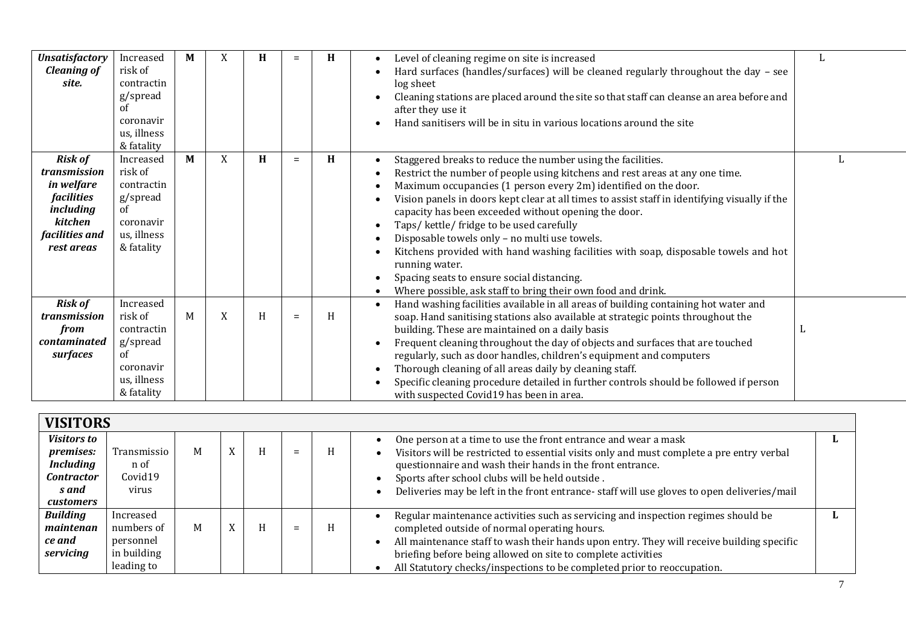| <b>Unsatisfactory</b><br><b>Cleaning of</b><br>site.                                                                             | Increased<br>risk of<br>contractin<br>g/spread<br>of<br>coronavir<br>us, illness<br>& fatality            | M | X           | H | $=$ | H | Level of cleaning regime on site is increased<br>٠<br>Hard surfaces (handles/surfaces) will be cleaned regularly throughout the day - see<br>log sheet<br>Cleaning stations are placed around the site so that staff can cleanse an area before and<br>after they use it<br>Hand sanitisers will be in situ in various locations around the site                                                                                                                                                                                                                                                                                                                                                                                                      | L |
|----------------------------------------------------------------------------------------------------------------------------------|-----------------------------------------------------------------------------------------------------------|---|-------------|---|-----|---|-------------------------------------------------------------------------------------------------------------------------------------------------------------------------------------------------------------------------------------------------------------------------------------------------------------------------------------------------------------------------------------------------------------------------------------------------------------------------------------------------------------------------------------------------------------------------------------------------------------------------------------------------------------------------------------------------------------------------------------------------------|---|
| <b>Risk of</b><br>transmission<br>in welfare<br><i>facilities</i><br><i>including</i><br>kitchen<br>facilities and<br>rest areas | Increased<br>risk of<br>contractin<br>g/spread<br><sub>of</sub><br>coronavir<br>us, illness<br>& fatality | M | X           | H | $=$ | H | Staggered breaks to reduce the number using the facilities.<br>$\bullet$<br>Restrict the number of people using kitchens and rest areas at any one time.<br>٠<br>Maximum occupancies (1 person every 2m) identified on the door.<br>٠<br>Vision panels in doors kept clear at all times to assist staff in identifying visually if the<br>capacity has been exceeded without opening the door.<br>Taps/kettle/fridge to be used carefully<br>٠<br>Disposable towels only - no multi use towels.<br>$\bullet$<br>Kitchens provided with hand washing facilities with soap, disposable towels and hot<br>running water.<br>Spacing seats to ensure social distancing.<br>٠<br>Where possible, ask staff to bring their own food and drink.<br>$\bullet$ |   |
| <b>Risk of</b><br>transmission<br>from<br>contaminated<br>surfaces                                                               | Increased<br>risk of<br>contractin<br>g/spread<br><sub>of</sub><br>coronavir<br>us, illness<br>& fatality | M | $\mathbf X$ | H | $=$ | H | Hand washing facilities available in all areas of building containing hot water and<br>$\bullet$<br>soap. Hand sanitising stations also available at strategic points throughout the<br>building. These are maintained on a daily basis<br>Frequent cleaning throughout the day of objects and surfaces that are touched<br>$\bullet$<br>regularly, such as door handles, children's equipment and computers<br>Thorough cleaning of all areas daily by cleaning staff.<br>$\bullet$<br>Specific cleaning procedure detailed in further controls should be followed if person<br>٠<br>with suspected Covid19 has been in area.                                                                                                                        | L |

| <b>VISITORS</b>    |             |   |              |   |     |   |                                                                                            |  |  |
|--------------------|-------------|---|--------------|---|-----|---|--------------------------------------------------------------------------------------------|--|--|
| <b>Visitors to</b> |             |   |              |   |     |   | One person at a time to use the front entrance and wear a mask                             |  |  |
| premises:          | Transmissio | M | $\mathbf{v}$ | H | $=$ | H | Visitors will be restricted to essential visits only and must complete a pre entry verbal  |  |  |
| <b>Including</b>   | n of        |   |              |   |     |   | questionnaire and wash their hands in the front entrance.                                  |  |  |
| <b>Contractor</b>  | Covid19     |   |              |   |     |   | Sports after school clubs will be held outside.                                            |  |  |
| s and              | virus       |   |              |   |     |   | Deliveries may be left in the front entrance-staff will use gloves to open deliveries/mail |  |  |
| <i>customers</i>   |             |   |              |   |     |   |                                                                                            |  |  |
| <b>Building</b>    | Increased   |   |              |   |     |   | Regular maintenance activities such as servicing and inspection regimes should be          |  |  |
| maintenan          | numbers of  | M | <b>TT</b>    | H | $=$ | H | completed outside of normal operating hours.                                               |  |  |
| ce and             | personnel   |   |              |   |     |   | All maintenance staff to wash their hands upon entry. They will receive building specific  |  |  |
| servicing          | in building |   |              |   |     |   | briefing before being allowed on site to complete activities                               |  |  |
|                    | leading to  |   |              |   |     |   | All Statutory checks/inspections to be completed prior to reoccupation.                    |  |  |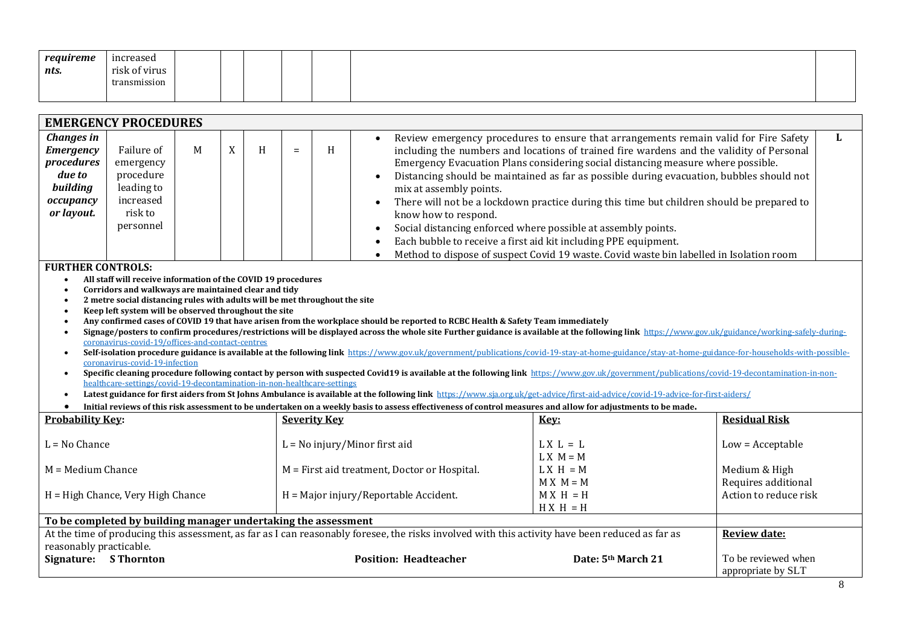| requireme | increased     |  |  |  |  |
|-----------|---------------|--|--|--|--|
| nts.      | risk of virus |  |  |  |  |
|           | transmission  |  |  |  |  |
|           |               |  |  |  |  |

| <b>EMERGENCY PROCEDURES</b>                                                                                       |                                                                                                                                                                                                                                                                                                                                                                                                                                                                                                                                                                                                                                                                                                                                                                                                                                                                                                                                                                                                                                                                                                                                       |  |  |  |  |                     |                                                                                                                                                                                                    |                                           |  |  |
|-------------------------------------------------------------------------------------------------------------------|---------------------------------------------------------------------------------------------------------------------------------------------------------------------------------------------------------------------------------------------------------------------------------------------------------------------------------------------------------------------------------------------------------------------------------------------------------------------------------------------------------------------------------------------------------------------------------------------------------------------------------------------------------------------------------------------------------------------------------------------------------------------------------------------------------------------------------------------------------------------------------------------------------------------------------------------------------------------------------------------------------------------------------------------------------------------------------------------------------------------------------------|--|--|--|--|---------------------|----------------------------------------------------------------------------------------------------------------------------------------------------------------------------------------------------|-------------------------------------------|--|--|
| <b>Changes in</b><br><b>Emergency</b><br>procedures<br>due to<br>building<br>occupancy<br>or layout.<br>$\bullet$ | Review emergency procedures to ensure that arrangements remain valid for Fire Safety<br>$\bullet$<br>$\boldsymbol{X}$<br>Failure of<br>M<br>H<br>H<br>including the numbers and locations of trained fire wardens and the validity of Personal<br>$=$<br>Emergency Evacuation Plans considering social distancing measure where possible.<br>emergency<br>procedure<br>Distancing should be maintained as far as possible during evacuation, bubbles should not<br>leading to<br>mix at assembly points.<br>increased<br>There will not be a lockdown practice during this time but children should be prepared to<br>risk to<br>know how to respond.<br>personnel<br>Social distancing enforced where possible at assembly points.<br>Each bubble to receive a first aid kit including PPE equipment.<br>Method to dispose of suspect Covid 19 waste. Covid waste bin labelled in Isolation room<br><b>FURTHER CONTROLS:</b><br>All staff will receive information of the COVID 19 procedures<br>Corridors and walkways are maintained clear and tidy<br>2 metre social distancing rules with adults will be met throughout the site |  |  |  |  |                     |                                                                                                                                                                                                    |                                           |  |  |
| $\bullet$                                                                                                         | Keep left system will be observed throughout the site                                                                                                                                                                                                                                                                                                                                                                                                                                                                                                                                                                                                                                                                                                                                                                                                                                                                                                                                                                                                                                                                                 |  |  |  |  |                     |                                                                                                                                                                                                    |                                           |  |  |
|                                                                                                                   | Any confirmed cases of COVID 19 that have arisen from the workplace should be reported to RCBC Health & Safety Team immediately<br>Signage/posters to confirm procedures/restrictions will be displayed across the whole site Further guidance is available at the following link https://www.gov.uk/guidance/working-safely-during-                                                                                                                                                                                                                                                                                                                                                                                                                                                                                                                                                                                                                                                                                                                                                                                                  |  |  |  |  |                     |                                                                                                                                                                                                    |                                           |  |  |
|                                                                                                                   | coronavirus-covid-19/offices-and-contact-centres                                                                                                                                                                                                                                                                                                                                                                                                                                                                                                                                                                                                                                                                                                                                                                                                                                                                                                                                                                                                                                                                                      |  |  |  |  |                     |                                                                                                                                                                                                    |                                           |  |  |
| $\bullet$                                                                                                         | coronavirus-covid-19-infection                                                                                                                                                                                                                                                                                                                                                                                                                                                                                                                                                                                                                                                                                                                                                                                                                                                                                                                                                                                                                                                                                                        |  |  |  |  |                     | Self-isolation procedure guidance is available at the following link https://www.gov.uk/government/publications/covid-19-stay-at-home-guidance/stay-at-home-guidance-for-households-with-possible- |                                           |  |  |
|                                                                                                                   | healthcare-settings/covid-19-decontamination-in-non-healthcare-settings                                                                                                                                                                                                                                                                                                                                                                                                                                                                                                                                                                                                                                                                                                                                                                                                                                                                                                                                                                                                                                                               |  |  |  |  |                     | Specific cleaning procedure following contact by person with suspected Covid19 is available at the following link https://www.gov.uk/government/publications/covid-19-decontamination-in-non-      |                                           |  |  |
|                                                                                                                   |                                                                                                                                                                                                                                                                                                                                                                                                                                                                                                                                                                                                                                                                                                                                                                                                                                                                                                                                                                                                                                                                                                                                       |  |  |  |  |                     | Latest guidance for first aiders from St Johns Ambulance is available at the following link https://www.sja.org.uk/get-advice/first-aid-advice/covid-19-advice-for-first-aiders/                   |                                           |  |  |
|                                                                                                                   |                                                                                                                                                                                                                                                                                                                                                                                                                                                                                                                                                                                                                                                                                                                                                                                                                                                                                                                                                                                                                                                                                                                                       |  |  |  |  |                     | Initial reviews of this risk assessment to be undertaken on a weekly basis to assess effectiveness of control measures and allow for adjustments to be made.                                       |                                           |  |  |
| <b>Probability Key:</b>                                                                                           |                                                                                                                                                                                                                                                                                                                                                                                                                                                                                                                                                                                                                                                                                                                                                                                                                                                                                                                                                                                                                                                                                                                                       |  |  |  |  | <b>Severity Key</b> | Key:                                                                                                                                                                                               | <b>Residual Risk</b>                      |  |  |
| $L = No$ Chance                                                                                                   |                                                                                                                                                                                                                                                                                                                                                                                                                                                                                                                                                                                                                                                                                                                                                                                                                                                                                                                                                                                                                                                                                                                                       |  |  |  |  |                     | $L = No$ injury/Minor first aid<br>$L X L = L$<br>$L X M = M$                                                                                                                                      | $Low = Acceptable$                        |  |  |
| $M = Medium$ Chance                                                                                               |                                                                                                                                                                                                                                                                                                                                                                                                                                                                                                                                                                                                                                                                                                                                                                                                                                                                                                                                                                                                                                                                                                                                       |  |  |  |  |                     | $L X H = M$<br>M = First aid treatment, Doctor or Hospital.                                                                                                                                        | Medium & High                             |  |  |
|                                                                                                                   | $MX M = M$<br>Requires additional<br>$MX H = H$<br>Action to reduce risk<br>H = High Chance, Very High Chance<br>H = Major injury/Reportable Accident.                                                                                                                                                                                                                                                                                                                                                                                                                                                                                                                                                                                                                                                                                                                                                                                                                                                                                                                                                                                |  |  |  |  |                     |                                                                                                                                                                                                    |                                           |  |  |
|                                                                                                                   | $H X H = H$                                                                                                                                                                                                                                                                                                                                                                                                                                                                                                                                                                                                                                                                                                                                                                                                                                                                                                                                                                                                                                                                                                                           |  |  |  |  |                     |                                                                                                                                                                                                    |                                           |  |  |
| To be completed by building manager undertaking the assessment                                                    |                                                                                                                                                                                                                                                                                                                                                                                                                                                                                                                                                                                                                                                                                                                                                                                                                                                                                                                                                                                                                                                                                                                                       |  |  |  |  |                     |                                                                                                                                                                                                    |                                           |  |  |
| reasonably practicable.                                                                                           |                                                                                                                                                                                                                                                                                                                                                                                                                                                                                                                                                                                                                                                                                                                                                                                                                                                                                                                                                                                                                                                                                                                                       |  |  |  |  |                     | At the time of producing this assessment, as far as I can reasonably foresee, the risks involved with this activity have been reduced as far as                                                    | <b>Review date:</b>                       |  |  |
| Signature:                                                                                                        | <b>S</b> Thornton                                                                                                                                                                                                                                                                                                                                                                                                                                                                                                                                                                                                                                                                                                                                                                                                                                                                                                                                                                                                                                                                                                                     |  |  |  |  |                     | <b>Position: Headteacher</b><br>Date: 5th March 21                                                                                                                                                 | To be reviewed when<br>appropriate by SLT |  |  |